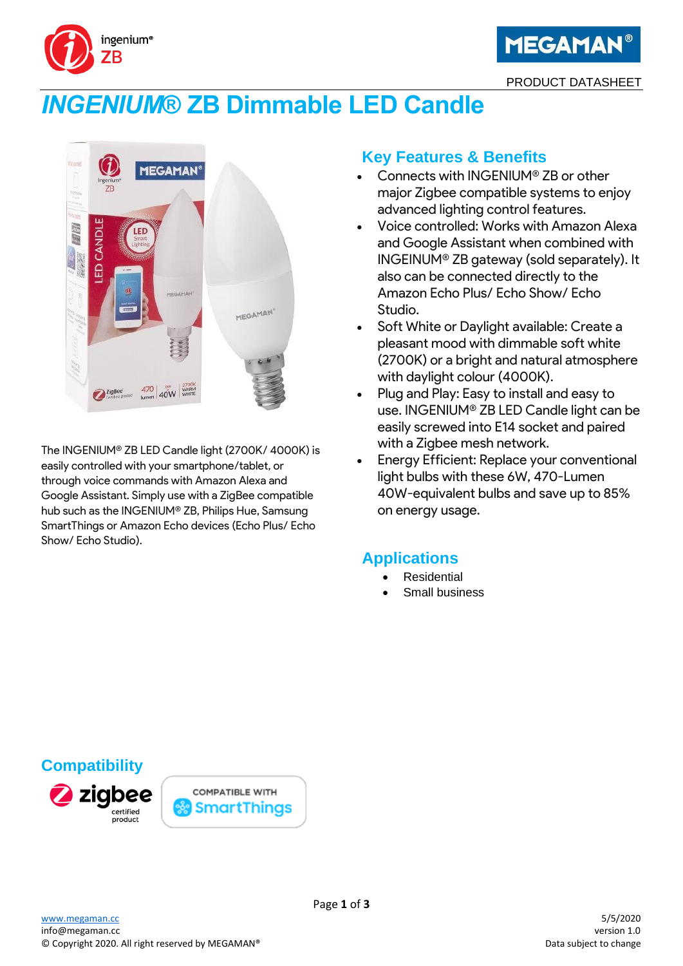



PRODUCT DATASHEET

# *INGENIUM***® ZB Dimmable LED Candle**



The INGENIUM® ZB LED Candle light (2700K/ 4000K) is easily controlled with your smartphone/tablet, or through voice commands with Amazon Alexa and Google Assistant. Simply use with a ZigBee compatible hub such as the INGENIUM® ZB, Philips Hue, Samsung SmartThings or Amazon Echo devices (Echo Plus/ Echo Show/ Echo Studio).

# **Key Features & Benefits**

- Connects with INGENIUM® ZB or other major Zigbee compatible systems to enjoy advanced lighting control features.
- Voice controlled: Works with Amazon Alexa and Google Assistant when combined with INGEINUM® ZB gateway (sold separately). It also can be connected directly to the Amazon Echo Plus/ Echo Show/ Echo Studio.
- Soft White or Daylight available: Create a pleasant mood with dimmable soft white (2700K) or a bright and natural atmosphere with daylight colour (4000K).
- Plug and Play: Easy to install and easy to use. INGENIUM® ZB LED Candle light can be easily screwed into E14 socket and paired with a Zigbee mesh network.
- Energy Efficient: Replace your conventional light bulbs with these 6W, 470-Lumen 40W-equivalent bulbs and save up to 85% on energy usage.

# **Applications**

- **Residential**
- Small business

## **Compatibility**



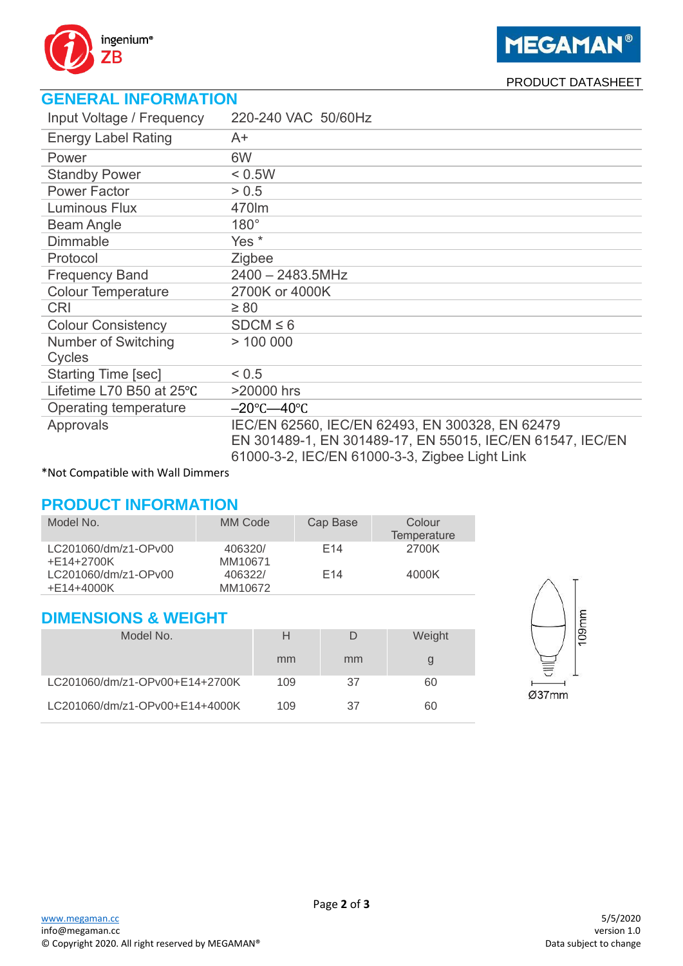

**MEGAMAN®** 

PRODUCT DATASHEET

# **GENERAL INFORMATION**

| Input Voltage / Frequency  | 220-240 VAC 50/60Hz                                                                                                                                            |
|----------------------------|----------------------------------------------------------------------------------------------------------------------------------------------------------------|
| <b>Energy Label Rating</b> | A+                                                                                                                                                             |
| Power                      | 6W                                                                                                                                                             |
| <b>Standby Power</b>       | < 0.5W                                                                                                                                                         |
| <b>Power Factor</b>        | > 0.5                                                                                                                                                          |
| <b>Luminous Flux</b>       | 470lm                                                                                                                                                          |
| <b>Beam Angle</b>          | $180^\circ$                                                                                                                                                    |
| <b>Dimmable</b>            | Yes <sup>*</sup>                                                                                                                                               |
| Protocol                   | Zigbee                                                                                                                                                         |
| <b>Frequency Band</b>      | $2400 - 2483.5$ MHz                                                                                                                                            |
| <b>Colour Temperature</b>  | 2700K or 4000K                                                                                                                                                 |
| <b>CRI</b>                 | $\geq 80$                                                                                                                                                      |
| <b>Colour Consistency</b>  | $SDCM \leq 6$                                                                                                                                                  |
| Number of Switching        | > 100000                                                                                                                                                       |
| Cycles                     |                                                                                                                                                                |
| <b>Starting Time [sec]</b> | < 0.5                                                                                                                                                          |
| Lifetime L70 B50 at 25°C   | >20000 hrs                                                                                                                                                     |
| Operating temperature      | $-20^{\circ}$ C $-40^{\circ}$ C                                                                                                                                |
| Approvals                  | IEC/EN 62560, IEC/EN 62493, EN 300328, EN 62479<br>EN 301489-1, EN 301489-17, EN 55015, IEC/EN 61547, IEC/EN<br>61000-3-2, IEC/EN 61000-3-3, Zigbee Light Link |

\*Not Compatible with Wall Dimmers

## **PRODUCT INFORMATION**

| Model No.                          | MM Code            | Cap Base        | Colour<br>Temperature |
|------------------------------------|--------------------|-----------------|-----------------------|
| LC201060/dm/z1-OPv00<br>+E14+2700K | 406320/<br>MM10671 | F <sub>14</sub> | 2700K                 |
| LC201060/dm/z1-OPv00<br>+E14+4000K | 406322/<br>MM10672 | F <sub>14</sub> | 4000K                 |

#### **DIMENSIONS & WEIGHT**

| Model No.                      | н   |    | Weight |  |  |  |  |
|--------------------------------|-----|----|--------|--|--|--|--|
|                                | mm  | mm |        |  |  |  |  |
| LC201060/dm/z1-OPv00+E14+2700K | 109 | 37 | 60     |  |  |  |  |
| LC201060/dm/z1-OPv00+E14+4000K | 109 | 37 | 60     |  |  |  |  |